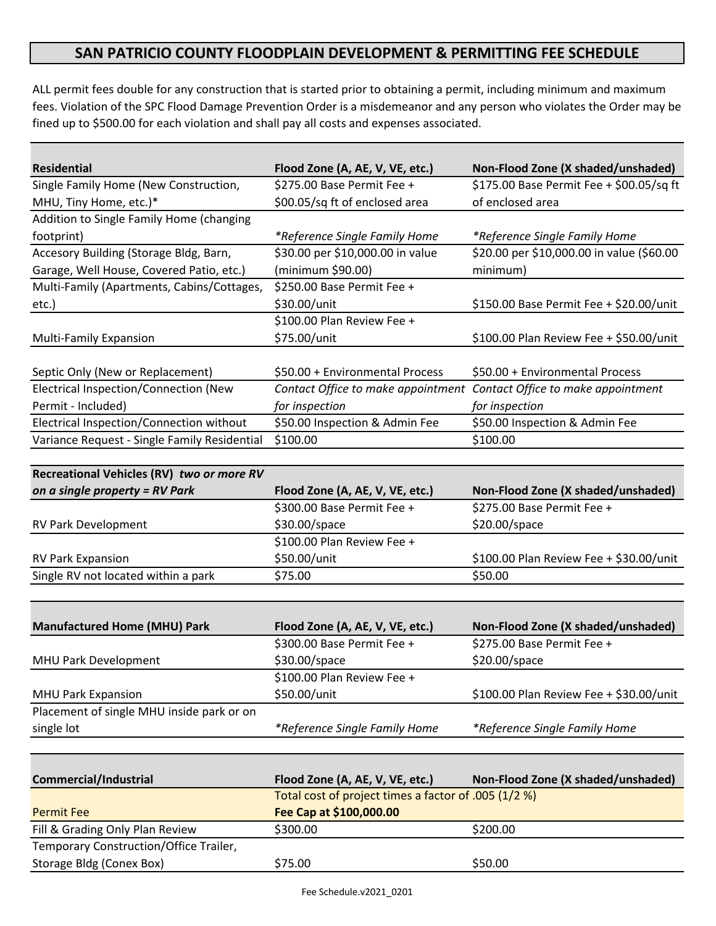## **SAN PATRICIO COUNTY FLOODPLAIN DEVELOPMENT & PERMITTING FEE SCHEDULE**

ALL permit fees double for any construction that is started prior to obtaining a permit, including minimum and maximum fees. Violation of the SPC Flood Damage Prevention Order is a misdemeanor and any person who violates the Order may be fined up to \$500.00 for each violation and shall pay all costs and expenses associated.

| <b>Residential</b>                           | Flood Zone (A, AE, V, VE, etc.)    | Non-Flood Zone (X shaded/unshaded)        |
|----------------------------------------------|------------------------------------|-------------------------------------------|
| Single Family Home (New Construction,        | \$275.00 Base Permit Fee +         | \$175.00 Base Permit Fee + \$00.05/sq ft  |
| MHU, Tiny Home, etc.)*                       | \$00.05/sq ft of enclosed area     | of enclosed area                          |
| Addition to Single Family Home (changing     |                                    |                                           |
| footprint)                                   | *Reference Single Family Home      | *Reference Single Family Home             |
| Accesory Building (Storage Bldg, Barn,       | \$30.00 per \$10,000.00 in value   | \$20.00 per \$10,000.00 in value (\$60.00 |
| Garage, Well House, Covered Patio, etc.)     | (minimum \$90.00)                  | minimum)                                  |
| Multi-Family (Apartments, Cabins/Cottages,   | \$250.00 Base Permit Fee +         |                                           |
| etc.)                                        | \$30.00/unit                       | \$150.00 Base Permit Fee + \$20.00/unit   |
|                                              | \$100.00 Plan Review Fee +         |                                           |
| <b>Multi-Family Expansion</b>                | \$75.00/unit                       | \$100.00 Plan Review Fee + \$50.00/unit   |
|                                              |                                    |                                           |
| Septic Only (New or Replacement)             | \$50.00 + Environmental Process    | \$50.00 + Environmental Process           |
| Electrical Inspection/Connection (New        | Contact Office to make appointment | Contact Office to make appointment        |
| Permit - Included)                           | for inspection                     | for inspection                            |
| Electrical Inspection/Connection without     | \$50.00 Inspection & Admin Fee     | \$50.00 Inspection & Admin Fee            |
| Variance Request - Single Family Residential | \$100.00                           | \$100.00                                  |

| Recreational Vehicles (RV) two or more RV |                                 |                                         |
|-------------------------------------------|---------------------------------|-----------------------------------------|
| on a single property = $RV$ Park          | Flood Zone (A, AE, V, VE, etc.) | Non-Flood Zone (X shaded/unshaded)      |
|                                           | \$300.00 Base Permit Fee +      | \$275.00 Base Permit Fee +              |
| <b>RV Park Development</b>                | $$30.00$ /space                 | $$20.00$ /space                         |
|                                           | \$100.00 Plan Review Fee +      |                                         |
| <b>RV Park Expansion</b>                  | \$50.00/unit                    | \$100.00 Plan Review Fee + \$30.00/unit |
| Single RV not located within a park       | \$75.00                         | \$50.00                                 |

| <b>Manufactured Home (MHU) Park</b>       | Flood Zone (A, AE, V, VE, etc.) | Non-Flood Zone (X shaded/unshaded)      |
|-------------------------------------------|---------------------------------|-----------------------------------------|
|                                           | \$300.00 Base Permit Fee +      | \$275.00 Base Permit Fee +              |
| MHU Park Development                      | $$30.00$ /space                 | $$20.00$ /space                         |
|                                           | \$100.00 Plan Review Fee +      |                                         |
| <b>MHU Park Expansion</b>                 | \$50.00/unit                    | \$100.00 Plan Review Fee + \$30.00/unit |
| Placement of single MHU inside park or on |                                 |                                         |
| single lot                                | *Reference Single Family Home   | *Reference Single Family Home           |

| <b>Commercial/Industrial</b>           | Flood Zone (A, AE, V, VE, etc.)                      | Non-Flood Zone (X shaded/unshaded) |
|----------------------------------------|------------------------------------------------------|------------------------------------|
|                                        | Total cost of project times a factor of .005 (1/2 %) |                                    |
| <b>Permit Fee</b>                      | Fee Cap at \$100,000.00                              |                                    |
| Fill & Grading Only Plan Review        | \$300.00                                             | \$200.00                           |
| Temporary Construction/Office Trailer, |                                                      |                                    |
| Storage Bldg (Conex Box)               | \$75.00                                              | \$50.00                            |